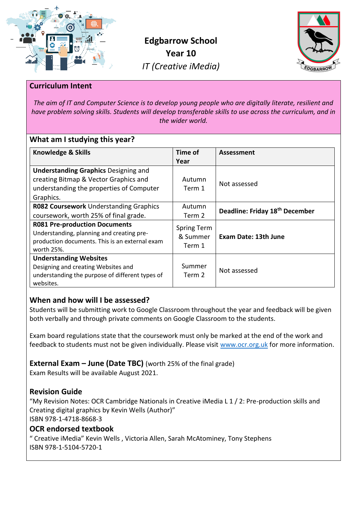

**Edgbarrow School Year 10** *IT (Creative iMedia)*



## **Curriculum Intent**

*The aim of IT and Computer Science is to develop young people who are digitally literate, resilient and have problem solving skills. Students will develop transferable skills to use across the curriculum, and in the wider world.*

## **What am I studying this year?**

| <b>Knowledge &amp; Skills</b>                                                                                                                     | Time of<br>Year                          | <b>Assessment</b>                          |
|---------------------------------------------------------------------------------------------------------------------------------------------------|------------------------------------------|--------------------------------------------|
| <b>Understanding Graphics Designing and</b><br>creating Bitmap & Vector Graphics and<br>understanding the properties of Computer<br>Graphics.     | Autumn<br>Term 1                         | Not assessed                               |
| R082 Coursework Understanding Graphics<br>coursework, worth 25% of final grade.                                                                   | Autumn<br>Term 2                         | Deadline: Friday 18 <sup>th</sup> December |
| <b>R081 Pre-production Documents</b><br>Understanding, planning and creating pre-<br>production documents. This is an external exam<br>worth 25%. | <b>Spring Term</b><br>& Summer<br>Term 1 | <b>Exam Date: 13th June</b>                |
| <b>Understanding Websites</b><br>Designing and creating Websites and<br>understanding the purpose of different types of<br>websites.              | Summer<br>Term 2                         | Not assessed                               |

# **When and how will I be assessed?**

Students will be submitting work to Google Classroom throughout the year and feedback will be given both verbally and through private comments on Google Classroom to the students.

Exam board regulations state that the coursework must only be marked at the end of the work and feedback to students must not be given individually. Please visit [www.ocr.org.uk](http://www.ocr.org.uk/) for more information.

**External Exam – June (Date TBC)** (worth 25% of the final grade)

Exam Results will be available August 2021.

# **Revision Guide**

"My Revision Notes: OCR Cambridge Nationals in Creative iMedia L 1 / 2: Pre-production skills and Creating digital graphics by Kevin Wells (Author)" ISBN 978-1-4718-8668-3

### **OCR endorsed textbook**

" Creative iMedia" Kevin Wells , Victoria Allen, Sarah McAtominey, Tony Stephens ISBN 978-1-5104-5720-1